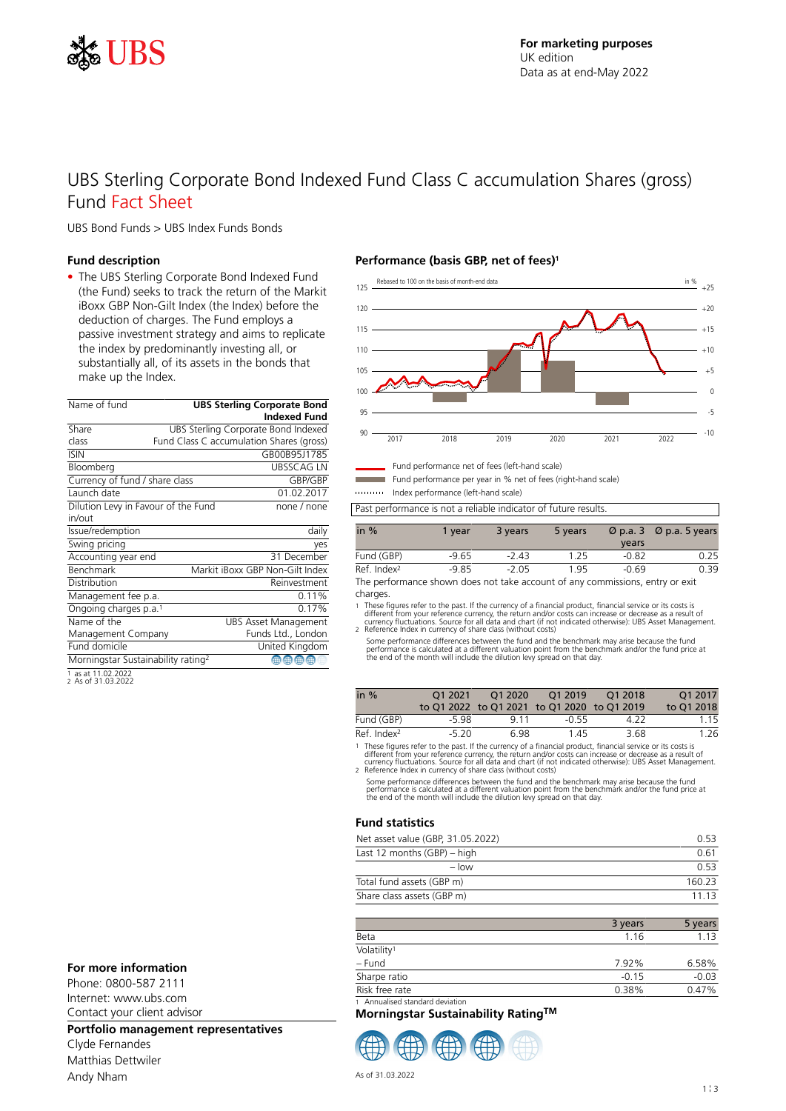

# UBS Sterling Corporate Bond Indexed Fund Class C accumulation Shares (gross) Fund Fact Sheet

UBS Bond Funds > UBS Index Funds Bonds

### **Fund description**

• The UBS Sterling Corporate Bond Indexed Fund (the Fund) seeks to track the return of the Markit iBoxx GBP Non-Gilt Index (the Index) before the deduction of charges. The Fund employs a passive investment strategy and aims to replicate the index by predominantly investing all, or substantially all, of its assets in the bonds that make up the Index.

| Name of fund                                   | <b>UBS Sterling Corporate Bond</b>  |                                          |  |  |
|------------------------------------------------|-------------------------------------|------------------------------------------|--|--|
|                                                |                                     | <b>Indexed Fund</b>                      |  |  |
| Share                                          |                                     | UBS Sterling Corporate Bond Indexed      |  |  |
| class                                          |                                     | Fund Class C accumulation Shares (gross) |  |  |
| <b>ISIN</b>                                    |                                     | GB00B95J1785                             |  |  |
| Bloomberg                                      |                                     | <b>UBSSCAG LN</b>                        |  |  |
| Currency of fund / share class                 |                                     | GBP/GBP                                  |  |  |
| Launch date                                    |                                     | 01.02.2017                               |  |  |
|                                                | Dilution Levy in Favour of the Fund | none / none                              |  |  |
| in/out                                         |                                     |                                          |  |  |
| Issue/redemption                               |                                     | daily                                    |  |  |
| Swing pricing                                  |                                     | yes                                      |  |  |
| Accounting year end                            |                                     | 31 December                              |  |  |
| Benchmark                                      |                                     | Markit iBoxx GBP Non-Gilt Index          |  |  |
| Distribution                                   |                                     | Reinvestment                             |  |  |
| Management fee p.a.                            |                                     | 0.11%                                    |  |  |
| Ongoing charges p.a. <sup>1</sup>              |                                     | 0.17%                                    |  |  |
| Name of the                                    |                                     | <b>UBS Asset Management</b>              |  |  |
| Management Company                             |                                     | Funds Ltd., London                       |  |  |
| Fund domicile                                  |                                     | United Kingdom                           |  |  |
| Morningstar Sustainability rating <sup>2</sup> |                                     | $\circledast$                            |  |  |
| $1 - 2 + 1102202$                              |                                     |                                          |  |  |

1 as at 11.02.2022 2 As of 31.03.2022

## **For more information**

Phone: 0800-587 2111 Internet: www.ubs.com Contact your client advisor

## **Portfolio management representatives**

Clyde Fernandes Matthias Dettwiler Andy Nham

### **Performance (basis GBP, net of fees)<sup>1</sup>**



Fund performance net of fees (left-hand scale)

Fund performance per year in % net of fees (right-hand scale) Index performance (left-hand scale)

Past performance is not a reliable indicator of future results.

| in $%$                  | 1 vear  | 3 years | 5 years | years   | $\varnothing$ p.a. 3 $\varnothing$ p.a. 5 years |
|-------------------------|---------|---------|---------|---------|-------------------------------------------------|
| Fund (GBP)              | $-9.65$ | $-243$  | 1.25    | $-0.82$ | 0.25                                            |
| Ref. Index <sup>2</sup> | $-9.85$ | $-2.05$ | 1.95    | $-0.69$ | 0.39                                            |

The performance shown does not take account of any commissions, entry or exit charges.

1 These figures refer to the past. If the currency of a financial product, financial service or its costs is<br>different from your reference currency, the return and/or costs can increase or decrease as a result of<br>currency

Some performance differences between the fund and the benchmark may arise because the fund performance is calculated at a different valuation point from the benchmark and/or the fund price at the end of the month will include the dilution levy spread on that day.

| in $%$                                    | 01 2021 | O1 2020 | O12019<br>to Q1 2022 to Q1 2021 to Q1 2020 to Q1 2019 | $-012018$ | O1 2017<br>to 01 2018 |
|-------------------------------------------|---------|---------|-------------------------------------------------------|-----------|-----------------------|
| Fund (GBP)                                | -5.98   | 9 1 1   | -0.55                                                 | 4.22      | 1.15                  |
| Ref. Index <sup>2</sup>                   | $-5,20$ | 698     | 145                                                   | 3.68      | 1.26                  |
| $\sim$ $\sim$ $\sim$ $\sim$ $\sim$ $\sim$ |         |         |                                                       |           |                       |

1 These figures refer to the past. If the currency of a financial product, financial service or its costs is<br>different from your reference currency, the return and/or costs can increase or decrease as a result of<br>currency

Some performance differences between the fund and the benchmark may arise because the fund<br>performance is calculated at a different valuation point from the benchmark and/or the fund price at<br>the end of the month will incl

### **Fund statistics**

| Net asset value (GBP, 31.05.2022) | O 53   |
|-----------------------------------|--------|
| Last 12 months (GBP) – high       | 0.61   |
| $-$ low                           | O 53   |
| Total fund assets (GBP m)         | 160.23 |
| Share class assets (GBP m)        | 11 13  |

|                                 | 3 years | 5 years |
|---------------------------------|---------|---------|
| Beta                            | 1 1 6   | 1.13    |
| Volatility <sup>1</sup>         |         |         |
| – Fund                          | 7.92%   | 6.58%   |
| Sharpe ratio                    | $-0.15$ | $-0.03$ |
| Risk free rate                  | 0.38%   | 0.47%   |
| 1 Annualised standard deviation |         |         |

**Morningstar Sustainability RatingTM**

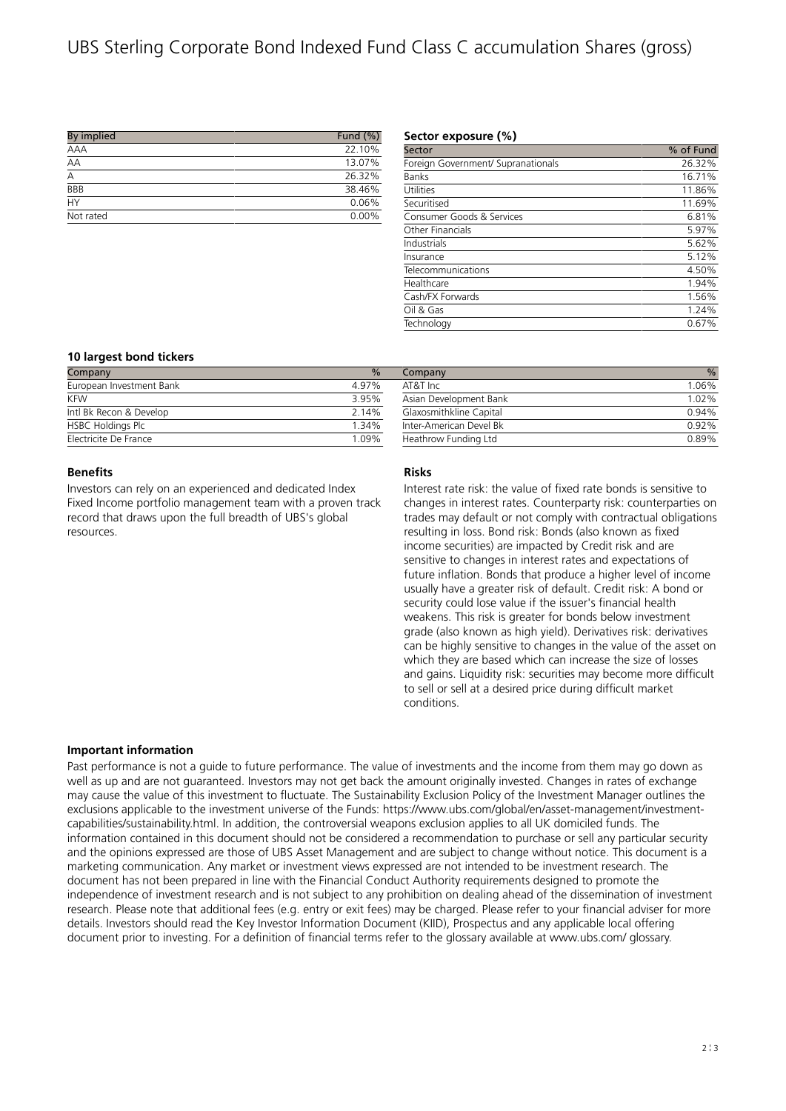# UBS Sterling Corporate Bond Indexed Fund Class C accumulation Shares (gross)

| By implied     | Fund $(\% )$ |
|----------------|--------------|
| AAA            | 22.10%       |
| AA             | 13.07%       |
| $\overline{A}$ | 26.32%       |
| <b>BBB</b>     | 38.46%       |
| <b>HY</b>      | 0.06%        |
| Not rated      | 0.00%        |

### **Sector exposure (%)**

| Sector                             | % of Fund |
|------------------------------------|-----------|
| Foreign Government/ Supranationals | 26.32%    |
| <b>Banks</b>                       | 16.71%    |
| Utilities                          | 11.86%    |
| Securitised                        | 11.69%    |
| Consumer Goods & Services          | 6.81%     |
| Other Financials                   | 5.97%     |
| Industrials                        | 5.62%     |
| Insurance                          | 5.12%     |
| Telecommunications                 | 4.50%     |
| Healthcare                         | 1.94%     |
| Cash/FX Forwards                   | 1.56%     |
| Oil & Gas                          | 1.24%     |
| Technology                         | 0.67%     |
|                                    |           |

# **10 largest bond tickers**

| Company                  | $\frac{0}{0}$ | Company                 | $\%$  |
|--------------------------|---------------|-------------------------|-------|
| European Investment Bank | 4.97%         | AT&T Inc                | 1.06% |
| <b>KFW</b>               | 3.95%         | Asian Development Bank  | 1.02% |
| Intl Bk Recon & Develop  | 2.14%         | Glaxosmithkline Capital | 0.94% |
| <b>HSBC Holdings Plc</b> | 1.34%         | Inter-American Devel Bk | 0.92% |
| Electricite De France    | 1.09%         | Heathrow Funding Ltd    | 0.89% |

### **Benefits**

Investors can rely on an experienced and dedicated Index Fixed Income portfolio management team with a proven track record that draws upon the full breadth of UBS's global resources.

#### **Risks**

Interest rate risk: the value of fixed rate bonds is sensitive to changes in interest rates. Counterparty risk: counterparties on trades may default or not comply with contractual obligations resulting in loss. Bond risk: Bonds (also known as fixed income securities) are impacted by Credit risk and are sensitive to changes in interest rates and expectations of future inflation. Bonds that produce a higher level of income usually have a greater risk of default. Credit risk: A bond or security could lose value if the issuer's financial health weakens. This risk is greater for bonds below investment grade (also known as high yield). Derivatives risk: derivatives can be highly sensitive to changes in the value of the asset on which they are based which can increase the size of losses and gains. Liquidity risk: securities may become more difficult to sell or sell at a desired price during difficult market conditions.

#### **Important information**

Past performance is not a guide to future performance. The value of investments and the income from them may go down as well as up and are not guaranteed. Investors may not get back the amount originally invested. Changes in rates of exchange may cause the value of this investment to fluctuate. The Sustainability Exclusion Policy of the Investment Manager outlines the exclusions applicable to the investment universe of the Funds: https://www.ubs.com/global/en/asset-management/investmentcapabilities/sustainability.html. In addition, the controversial weapons exclusion applies to all UK domiciled funds. The information contained in this document should not be considered a recommendation to purchase or sell any particular security and the opinions expressed are those of UBS Asset Management and are subject to change without notice. This document is a marketing communication. Any market or investment views expressed are not intended to be investment research. The document has not been prepared in line with the Financial Conduct Authority requirements designed to promote the independence of investment research and is not subject to any prohibition on dealing ahead of the dissemination of investment research. Please note that additional fees (e.g. entry or exit fees) may be charged. Please refer to your financial adviser for more details. Investors should read the Key Investor Information Document (KIID), Prospectus and any applicable local offering document prior to investing. For a definition of financial terms refer to the glossary available at www.ubs.com/ glossary.